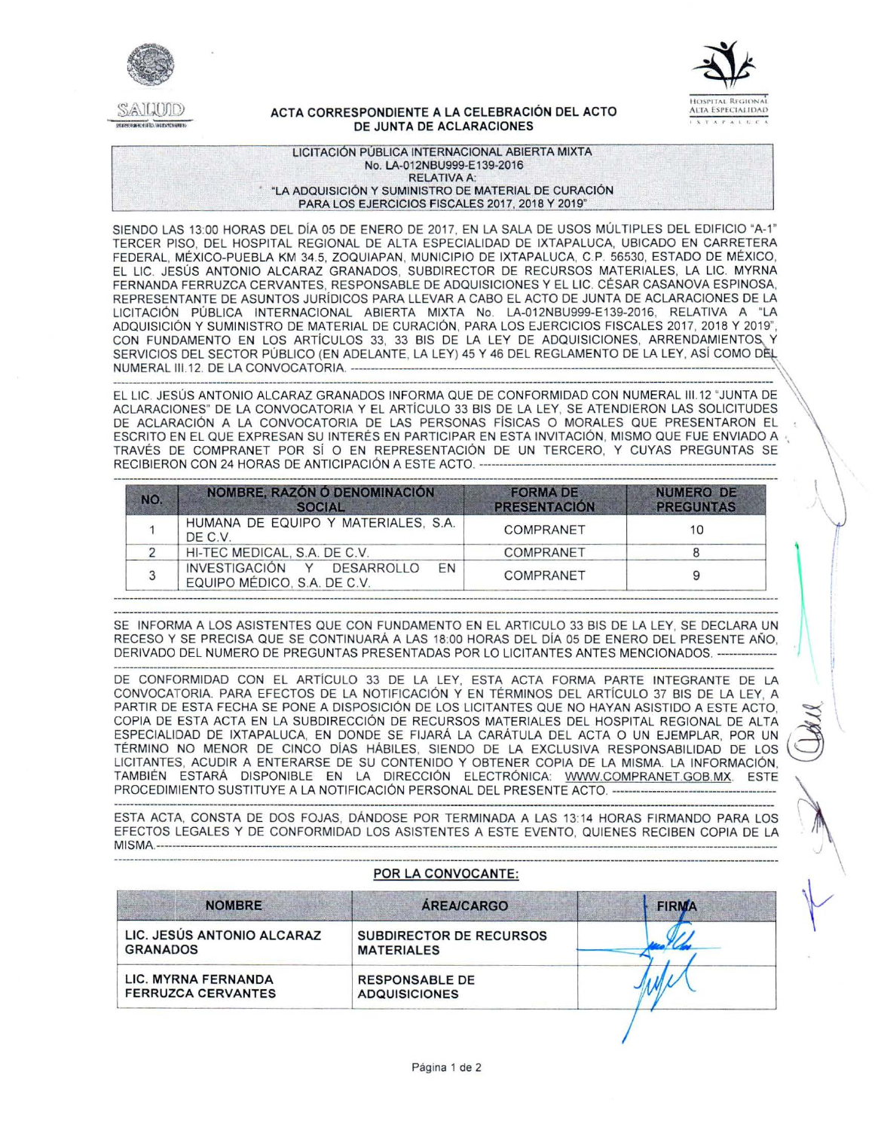



## ACTA CORRESPONDIENTE A LA CELEBRACIÓN DEL ACTO DE JUNTA DE ACLARACIONES

LICITACIÓN PÚBLICA INTERNACIONAL ABIERTA MIXTA No. LA-012NBU999-E139-2016 **RELATIVA A:** "LA ADQUISICIÓN Y SUMINISTRO DE MATERIAL DE CURACIÓN PARA LOS EJERCICIOS FISCALES 2017, 2018 Y 2019"

SIENDO LAS 13:00 HORAS DEL DÍA 05 DE ENERO DE 2017, EN LA SALA DE USOS MÚLTIPLES DEL EDIFICIO "A-1" TERCER PISO. DEL HOSPITAL REGIONAL DE ALTA ESPECIALIDAD DE IXTAPALUCA, UBICADO EN CARRETERA FEDERAL, MÉXICO-PUEBLA KM 34.5, ZOQUIAPAN, MUNICIPIO DE IXTAPALUCA, C.P. 56530, ESTADO DE MÉXICO, EL LIC. JESÚS ANTONIO ALCARAZ GRANADOS, SUBDIRECTOR DE RECURSOS MATERIALES, LA LIC. MYRNA FERNANDA FERRUZCA CERVANTES, RESPONSABLE DE ADQUISICIONES Y EL LIC. CÉSAR CASANOVA ESPINOSA, REPRESENTANTE DE ASUNTOS JURÍDICOS PARA LLEVAR A CABO EL ACTO DE JUNTA DE ACLARACIONES DE LA LICITACIÓN PÚBLICA INTERNACIONAL ABIERTA MIXTA No. LA-012NBU999-E139-2016, RELATIVA A "LA ADQUISICIÓN Y SUMINISTRO DE MATERIAL DE CURACIÓN, PARA LOS EJERCICIOS FISCALES 2017, 2018 Y 2019", CON FUNDAMENTO EN LOS ARTÍCULOS 33, 33 BIS DE LA LEY DE ADQUISICIONES, ARRENDAMIENTOS, Y SERVICIOS DEL SECTOR PÚBLICO (EN ADELANTE, LA LEY) 45 Y 46 DEL REGLAMENTO DE LA LEY, ASÍ COMO DÈL NUMERAL III.12. DE LA CONVOCATORIA. -------------

EL LIC. JESÚS ANTONIO ALCARAZ GRANADOS INFORMA QUE DE CONFORMIDAD CON NUMERAL III.12 "JUNTA DE ACLARACIONES" DE LA CONVOCATORIA Y EL ARTÍCULO 33 BIS DE LA LEY, SE ATENDIERON LAS SOLICITUDES DE ACLARACIÓN A LA CONVOCATORIA DE LAS PERSONAS FÍSICAS O MORALES QUE PRESENTARON EL ESCRITO EN EL QUE EXPRESAN SU INTERÉS EN PARTICIPAR EN ESTA INVITACIÓN, MISMO QUE FUE ENVIADO A TRAVÉS DE COMPRANET POR SÍ O EN REPRESENTACIÓN DE UN TERCERO, Y CUYAS PREGUNTAS SE RECIBIERON CON 24 HORAS DE ANTICIPACIÓN A ESTE ACTO. --

| NO. | NOMBRE, RAZÓN Ó DENOMINACIÓN<br><b>SOCIAL</b>                   | <b>FORMA DE</b><br><b>PRESENTACIÓN</b> | <b>NUMERO DE</b><br><b>PREGUNTAS</b> |
|-----|-----------------------------------------------------------------|----------------------------------------|--------------------------------------|
|     | HUMANA DE EQUIPO Y MATERIALES, S.A.<br>DE C.V.                  | COMPRANET                              | 10                                   |
|     | HI-TEC MEDICAL, S.A. DE C.V.                                    | COMPRANET                              |                                      |
|     | INVESTIGACIÓN Y DESARROLLO<br>EN<br>EQUIPO MÉDICO, S.A. DE C.V. | COMPRANET                              |                                      |

SE INFORMA A LOS ASISTENTES QUE CON FUNDAMENTO EN EL ARTICULO 33 BIS DE LA LEY. SE DECLARA UN RECESO Y SE PRECISA QUE SE CONTINUARÁ A LAS 18:00 HORAS DEL DÍA 05 DE ENERO DEL PRESENTE AÑO, DERIVADO DEL NUMERO DE PREGUNTAS PRESENTADAS POR LO LICITANTES ANTES MENCIONADOS. ------

DE CONFORMIDAD CON EL ARTÍCULO 33 DE LA LEY, ESTA ACTA FORMA PARTE INTEGRANTE DE LA CONVOCATORIA. PARA EFECTOS DE LA NOTIFICACIÓN Y EN TÉRMINOS DEL ARTÍCULO 37 BIS DE LA LEY, A PARTIR DE ESTA FECHA SE PONE A DISPOSICIÓN DE LOS LICITANTES QUE NO HAYAN ASISTIDO A ESTE ACTO, COPIA DE ESTA ACTA EN LA SUBDIRECCIÓN DE RECURSOS MATERIALES DEL HOSPITAL REGIONAL DE ALTA ESPECIALIDAD DE IXTAPALUCA, EN DONDE SE FIJARÁ LA CARÁTULA DEL ACTA O UN EJEMPLAR, POR UN TÉRMINO NO MENOR DE CINCO DÍAS HÁBILES, SIENDO DE LA EXCLUSIVA RESPONSABILIDAD DE LOS LICITANTES, ACUDIR A ENTERARSE DE SU CONTENIDO Y OBTENER COPIA DE LA MISMA. LA INFORMACIÓN, TAMBIÉN ESTARÁ DISPONIBLE EN LA DIRECCIÓN ELECTRÓNICA: WWW.COMPRANET.GOB.MX. ESTE PROCEDIMIENTO SUSTITUYE A LA NOTIFICACIÓN PERSONAL DEL PRESENTE ACTO. ---

ESTA ACTA, CONSTA DE DOS FOJAS, DÁNDOSE POR TERMINADA A LAS 13:14 HORAS FIRMANDO PARA LOS EFECTOS LEGALES Y DE CONFORMIDAD LOS ASISTENTES A ESTE EVENTO, QUIENES RECIBEN COPIA DE LA **MISMA.----**

## POR LA CONVOCANTE:

| <b>NOMBRE</b>                                    | <b>AREA/CARGO</b>                                   | <b>FIRMA</b> |  |
|--------------------------------------------------|-----------------------------------------------------|--------------|--|
| LIC. JESÚS ANTONIO ALCARAZ<br><b>GRANADOS</b>    | <b>SUBDIRECTOR DE RECURSOS</b><br><b>MATERIALES</b> |              |  |
| LIC. MYRNA FERNANDA<br><b>FERRUZCA CERVANTES</b> | <b>RESPONSABLE DE</b><br><b>ADQUISICIONES</b>       |              |  |